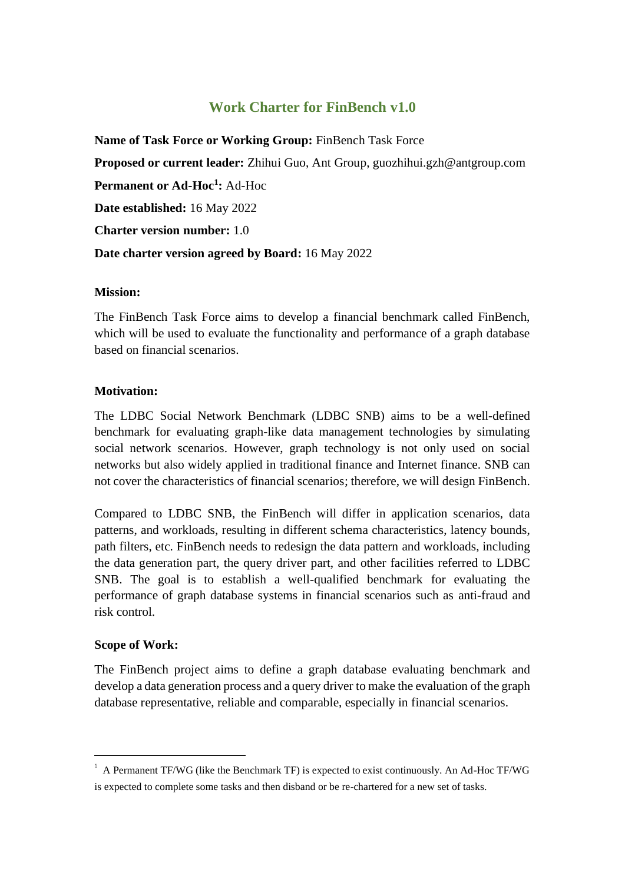# **Work Charter for FinBench v1.0**

**Name of Task Force or Working Group:** FinBench Task Force **Proposed or current leader:** Zhihui Guo, Ant Group, guozhihui.gzh@antgroup.com **Permanent or Ad-Hoc<sup>1</sup> :** Ad-Hoc **Date established:** 16 May 2022 **Charter version number:** 1.0 **Date charter version agreed by Board:** 16 May 2022

#### **Mission:**

The FinBench Task Force aims to develop a financial benchmark called FinBench, which will be used to evaluate the functionality and performance of a graph database based on financial scenarios.

#### **Motivation:**

The LDBC Social Network Benchmark (LDBC SNB) aims to be a well-defined benchmark for evaluating graph-like data management technologies by simulating social network scenarios. However, graph technology is not only used on social networks but also widely applied in traditional finance and Internet finance. SNB can not cover the characteristics of financial scenarios; therefore, we will design FinBench.

Compared to LDBC SNB, the FinBench will differ in application scenarios, data patterns, and workloads, resulting in different schema characteristics, latency bounds, path filters, etc. FinBench needs to redesign the data pattern and workloads, including the data generation part, the query driver part, and other facilities referred to LDBC SNB. The goal is to establish a well-qualified benchmark for evaluating the performance of graph database systems in financial scenarios such as anti-fraud and risk control.

## **Scope of Work:**

The FinBench project aims to define a graph database evaluating benchmark and develop a data generation process and a query driver to make the evaluation of the graph database representative, reliable and comparable, especially in financial scenarios.

 $1$  A Permanent TF/WG (like the Benchmark TF) is expected to exist continuously. An Ad-Hoc TF/WG is expected to complete some tasks and then disband or be re-chartered for a new set of tasks.